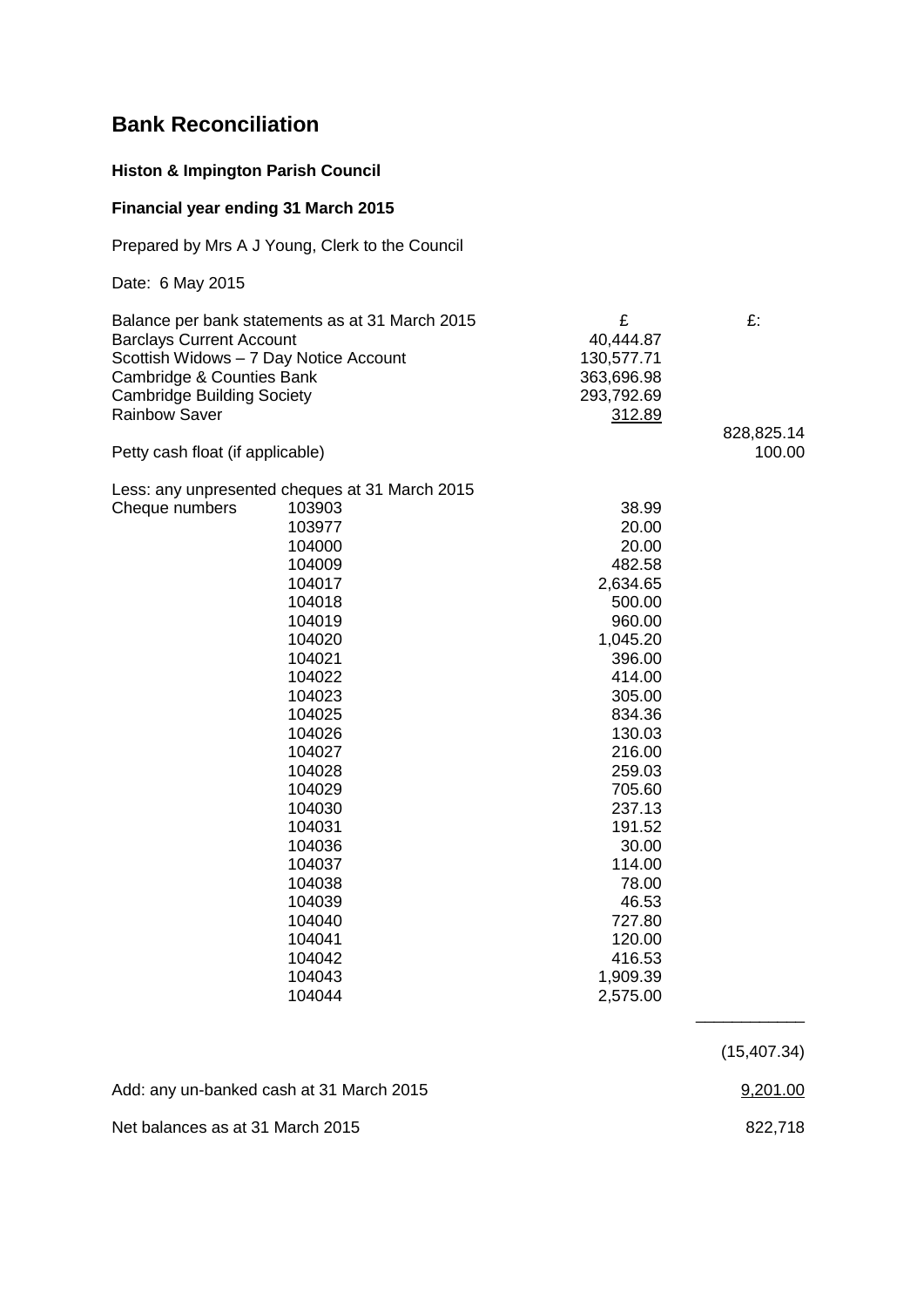# **Bank Reconciliation**

### **Histon & Impington Parish Council**

## **Financial year ending 31 March 2015**

Prepared by Mrs A J Young, Clerk to the Council

Date: 6 May 2015

| Balance per bank statements as at 31 March 2015 | £          | £:         |
|-------------------------------------------------|------------|------------|
| <b>Barclays Current Account</b>                 | 40,444.87  |            |
| Scottish Widows - 7 Day Notice Account          | 130,577.71 |            |
| Cambridge & Counties Bank                       | 363,696.98 |            |
| <b>Cambridge Building Society</b>               | 293,792.69 |            |
| <b>Rainbow Saver</b>                            | 312.89     |            |
|                                                 |            | 828,825.14 |
| Petty cash float (if applicable)                |            | 100.00     |

### Less: any unpresented cheques at 31 March 2015

| Cheque numbers | 103903 | 38.99    |
|----------------|--------|----------|
|                | 103977 | 20.00    |
|                | 104000 | 20.00    |
|                | 104009 | 482.58   |
|                | 104017 | 2,634.65 |
|                | 104018 | 500.00   |
|                | 104019 | 960.00   |
|                | 104020 | 1,045.20 |
|                | 104021 | 396.00   |
|                | 104022 | 414.00   |
|                | 104023 | 305.00   |
|                | 104025 | 834.36   |
|                | 104026 | 130.03   |
|                | 104027 | 216.00   |
|                | 104028 | 259.03   |
|                | 104029 | 705.60   |
|                | 104030 | 237.13   |
|                | 104031 | 191.52   |
|                | 104036 | 30.00    |
|                | 104037 | 114.00   |
|                | 104038 | 78.00    |
|                | 104039 | 46.53    |
|                | 104040 | 727.80   |
|                | 104041 | 120.00   |
|                | 104042 | 416.53   |
|                | 104043 | 1,909.39 |
|                | 104044 | 2,575.00 |
|                |        |          |

(15,407.34)

\_\_\_\_\_\_\_\_\_\_\_\_

Add: any un-banked cash at 31 March 2015 9,201.00

Net balances as at 31 March 2015 **822,718**